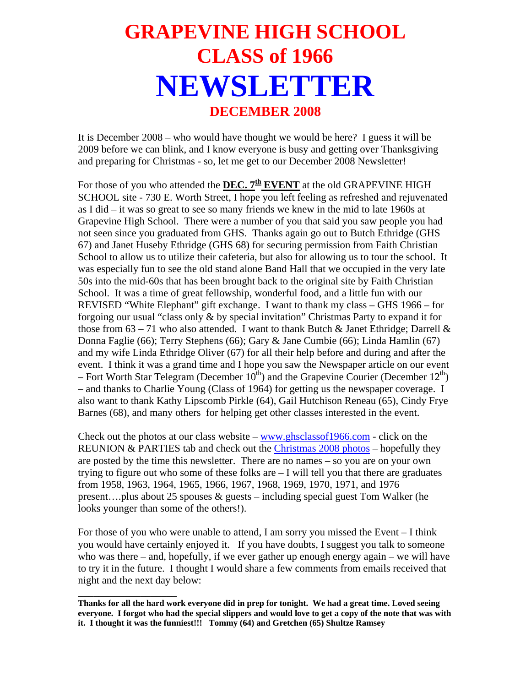## **GRAPEVINE HIGH SCHOOL CLASS of 1966 NEWSLETTER DECEMBER 2008**

It is December 2008 – who would have thought we would be here? I guess it will be 2009 before we can blink, and I know everyone is busy and getting over Thanksgiving and preparing for Christmas - so, let me get to our December 2008 Newsletter!

For those of you who attended the **DEC. 7<sup>th</sup> EVENT** at the old GRAPEVINE HIGH SCHOOL site - 730 E. Worth Street, I hope you left feeling as refreshed and rejuvenated as I did – it was so great to see so many friends we knew in the mid to late 1960s at Grapevine High School. There were a number of you that said you saw people you had not seen since you graduated from GHS. Thanks again go out to Butch Ethridge (GHS 67) and Janet Huseby Ethridge (GHS 68) for securing permission from Faith Christian School to allow us to utilize their cafeteria, but also for allowing us to tour the school. It was especially fun to see the old stand alone Band Hall that we occupied in the very late 50s into the mid-60s that has been brought back to the original site by Faith Christian School. It was a time of great fellowship, wonderful food, and a little fun with our REVISED "White Elephant" gift exchange. I want to thank my class – GHS 1966 – for forgoing our usual "class only & by special invitation" Christmas Party to expand it for those from  $63 - 71$  who also attended. I want to thank Butch & Janet Ethridge; Darrell & Donna Faglie (66); Terry Stephens (66); Gary & Jane Cumbie (66); Linda Hamlin (67) and my wife Linda Ethridge Oliver (67) for all their help before and during and after the event. I think it was a grand time and I hope you saw the Newspaper article on our event – Fort Worth Star Telegram (December  $10^{th}$ ) and the Grapevine Courier (December  $12^{th}$ ) – and thanks to Charlie Young (Class of 1964) for getting us the newspaper coverage. I also want to thank Kathy Lipscomb Pirkle (64), Gail Hutchison Reneau (65), Cindy Frye Barnes (68), and many others for helping get other classes interested in the event.

Check out the photos at our class website – [www.ghsclassof1966.com](http://www.ghsclassof1966.com/) - click on the REUNION & PARTIES tab and check out the [Christmas 2008 photos](http://www.ghsclassof1966.com/ss/ss.html) – hopefully they are posted by the time this newsletter. There are no names – so you are on your own trying to figure out who some of these folks are – I will tell you that there are graduates from 1958, 1963, 1964, 1965, 1966, 1967, 1968, 1969, 1970, 1971, and 1976 present….plus about 25 spouses & guests – including special guest Tom Walker (he looks younger than some of the others!).

For those of you who were unable to attend, I am sorry you missed the Event – I think you would have certainly enjoyed it. If you have doubts, I suggest you talk to someone who was there – and, hopefully, if we ever gather up enough energy again – we will have to try it in the future. I thought I would share a few comments from emails received that night and the next day below:

\_\_\_\_\_\_\_\_\_\_\_\_\_\_\_\_\_\_\_

**Thanks for all the hard work everyone did in prep for tonight. We had a great time. Loved seeing everyone. I forgot who had the special slippers and would love to get a copy of the note that was with it. I thought it was the funniest!!! Tommy (64) and Gretchen (65) Shultze Ramsey**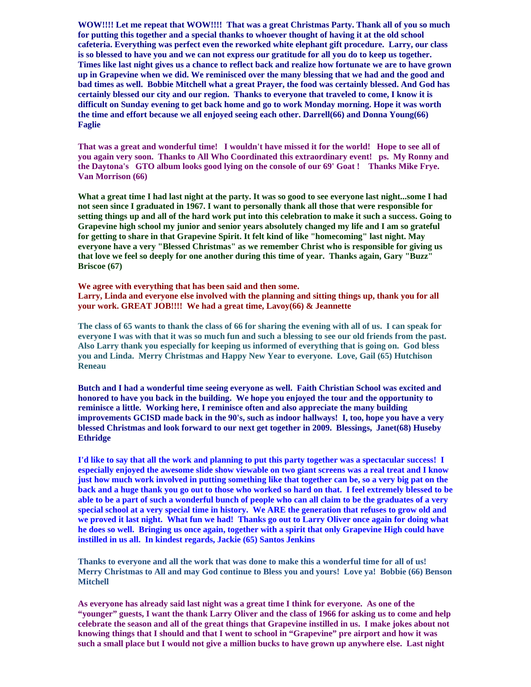**WOW!!!! Let me repeat that WOW!!!! That was a great Christmas Party. Thank all of you so much for putting this together and a special thanks to whoever thought of having it at the old school cafeteria. Everything was perfect even the reworked white elephant gift procedure. Larry, our class is so blessed to have you and we can not express our gratitude for all you do to keep us together. Times like last night gives us a chance to reflect back and realize how fortunate we are to have grown up in Grapevine when we did. We reminisced over the many blessing that we had and the good and bad times as well. Bobbie Mitchell what a great Prayer, the food was certainly blessed. And God has certainly blessed our city and our region. Thanks to everyone that traveled to come, I know it is difficult on Sunday evening to get back home and go to work Monday morning. Hope it was worth the time and effort because we all enjoyed seeing each other. Darrell(66) and Donna Young(66) Faglie**

**That was a great and wonderful time! I wouldn't have missed it for the world! Hope to see all of you again very soon. Thanks to All Who Coordinated this extraordinary event! ps. My Ronny and the Daytona's GTO album looks good lying on the console of our 69' Goat ! Thanks Mike Frye. Van Morrison (66)** 

**What a great time I had last night at the party. It was so good to see everyone last night...some I had not seen since I graduated in 1967. I want to personally thank all those that were responsible for setting things up and all of the hard work put into this celebration to make it such a success. Going to Grapevine high school my junior and senior years absolutely changed my life and I am so grateful for getting to share in that Grapevine Spirit. It felt kind of like "homecoming" last night. May everyone have a very "Blessed Christmas" as we remember Christ who is responsible for giving us that love we feel so deeply for one another during this time of year. Thanks again, Gary "Buzz" Briscoe (67)** 

**We agree with everything that has been said and then some. Larry, Linda and everyone else involved with the planning and sitting things up, thank you for all your work. GREAT JOB!!!! We had a great time, Lavoy(66) & Jeannette**

**The class of 65 wants to thank the class of 66 for sharing the evening with all of us. I can speak for everyone I was with that it was so much fun and such a blessing to see our old friends from the past. Also Larry thank you especially for keeping us informed of everything that is going on. God bless you and Linda. Merry Christmas and Happy New Year to everyone. Love, Gail (65) Hutchison Reneau** 

**Butch and I had a wonderful time seeing everyone as well. Faith Christian School was excited and honored to have you back in the building. We hope you enjoyed the tour and the opportunity to reminisce a little. Working here, I reminisce often and also appreciate the many building improvements GCISD made back in the 90's, such as indoor hallways! I, too, hope you have a very blessed Christmas and look forward to our next get together in 2009. Blessings, Janet(68) Huseby Ethridge** 

**I'd like to say that all the work and planning to put this party together was a spectacular success! I especially enjoyed the awesome slide show viewable on two giant screens was a real treat and I know just how much work involved in putting something like that together can be, so a very big pat on the back and a huge thank you go out to those who worked so hard on that. I feel extremely blessed to be able to be a part of such a wonderful bunch of people who can all claim to be the graduates of a very special school at a very special time in history. We ARE the generation that refuses to grow old and we proved it last night. What fun we had! Thanks go out to Larry Oliver once again for doing what he does so well. Bringing us once again, together with a spirit that only Grapevine High could have instilled in us all. In kindest regards, Jackie (65) Santos Jenkins**

**Thanks to everyone and all the work that was done to make this a wonderful time for all of us! Merry Christmas to All and may God continue to Bless you and yours! Love ya! Bobbie (66) Benson Mitchell** 

**As everyone has already said last night was a great time I think for everyone. As one of the "younger" guests, I want the thank Larry Oliver and the class of 1966 for asking us to come and help celebrate the season and all of the great things that Grapevine instilled in us. I make jokes about not knowing things that I should and that I went to school in "Grapevine" pre airport and how it was such a small place but I would not give a million bucks to have grown up anywhere else. Last night**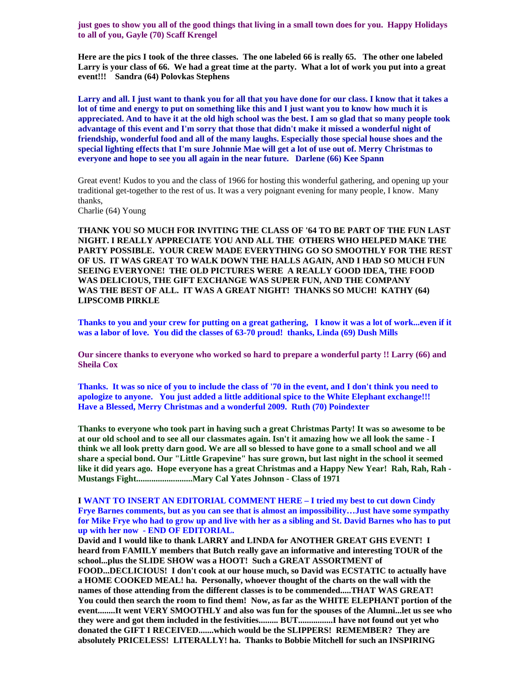**just goes to show you all of the good things that living in a small town does for you. Happy Holidays to all of you, Gayle (70) Scaff Krengel** 

**Here are the pics I took of the three classes. The one labeled 66 is really 65. The other one labeled Larry is your class of 66. We had a great time at the party. What a lot of work you put into a great event!!! Sandra (64) Polovkas Stephens** 

**Larry and all. I just want to thank you for all that you have done for our class. I know that it takes a lot of time and energy to put on something like this and I just want you to know how much it is appreciated. And to have it at the old high school was the best. I am so glad that so many people took advantage of this event and I'm sorry that those that didn't make it missed a wonderful night of friendship, wonderful food and all of the many laughs. Especially those special house shoes and the special lighting effects that I'm sure Johnnie Mae will get a lot of use out of. Merry Christmas to everyone and hope to see you all again in the near future. Darlene (66) Kee Spann** 

Great event! Kudos to you and the class of 1966 for hosting this wonderful gathering, and opening up your traditional get-together to the rest of us. It was a very poignant evening for many people, I know. Many thanks,

Charlie (64) Young

**THANK YOU SO MUCH FOR INVITING THE CLASS OF '64 TO BE PART OF THE FUN LAST NIGHT. I REALLY APPRECIATE YOU AND ALL THE OTHERS WHO HELPED MAKE THE PARTY POSSIBLE. YOUR CREW MADE EVERYTHING GO SO SMOOTHLY FOR THE REST OF US. IT WAS GREAT TO WALK DOWN THE HALLS AGAIN, AND I HAD SO MUCH FUN SEEING EVERYONE! THE OLD PICTURES WERE A REALLY GOOD IDEA, THE FOOD WAS DELICIOUS, THE GIFT EXCHANGE WAS SUPER FUN, AND THE COMPANY WAS THE BEST OF ALL. IT WAS A GREAT NIGHT! THANKS SO MUCH! KATHY (64) LIPSCOMB PIRKLE** 

**Thanks to you and your crew for putting on a great gathering, I know it was a lot of work...even if it was a labor of love. You did the classes of 63-70 proud! thanks, Linda (69) Dush Mills** 

**Our sincere thanks to everyone who worked so hard to prepare a wonderful party !! Larry (66) and Sheila Cox** 

**Thanks. It was so nice of you to include the class of '70 in the event, and I don't think you need to apologize to anyone. You just added a little additional spice to the White Elephant exchange!!! Have a Blessed, Merry Christmas and a wonderful 2009. Ruth (70) Poindexter** 

**Thanks to everyone who took part in having such a great Christmas Party! It was so awesome to be at our old school and to see all our classmates again. Isn't it amazing how we all look the same - I think we all look pretty darn good. We are all so blessed to have gone to a small school and we all share a special bond. Our "Little Grapevine" has sure grown, but last night in the school it seemed like it did years ago. Hope everyone has a great Christmas and a Happy New Year! Rah, Rah, Rah - Mustangs Fight..........................Mary Cal Yates Johnson - Class of 1971** 

**I WANT TO INSERT AN EDITORIAL COMMENT HERE – I tried my best to cut down Cindy Frye Barnes comments, but as you can see that is almost an impossibility…Just have some sympathy for Mike Frye who had to grow up and live with her as a sibling and St. David Barnes who has to put up with her now - END OF EDITORIAL.** 

**David and I would like to thank LARRY and LINDA for ANOTHER GREAT GHS EVENT! I heard from FAMILY members that Butch really gave an informative and interesting TOUR of the school...plus the SLIDE SHOW was a HOOT! Such a GREAT ASSORTMENT of FOOD...DECLICIOUS! I don't cook at our house much, so David was ECSTATIC to actually have a HOME COOKED MEAL! ha. Personally, whoever thought of the charts on the wall with the names of those attending from the different classes is to be commended.....THAT WAS GREAT! You could then search the room to find them! Now, as far as the WHITE ELEPHANT portion of the event........It went VERY SMOOTHLY and also was fun for the spouses of the Alumni...let us see who they were and got them included in the festivities......... BUT................I have not found out yet who donated the GIFT I RECEIVED.......which would be the SLIPPERS! REMEMBER? They are absolutely PRICELESS! LITERALLY! ha. Thanks to Bobbie Mitchell for such an INSPIRING**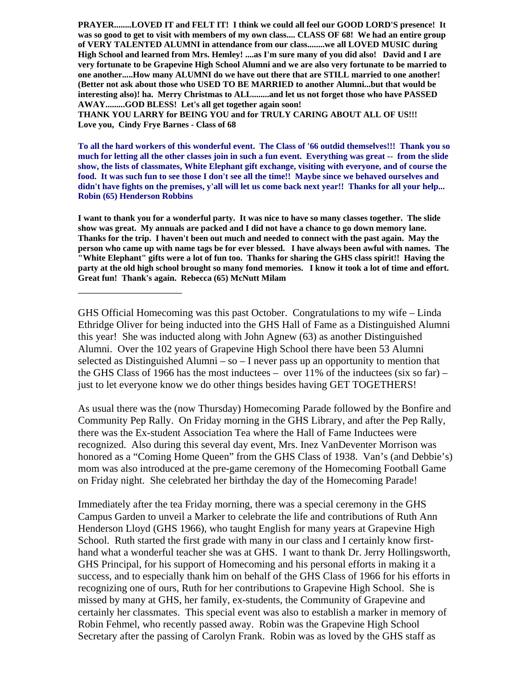**PRAYER........LOVED IT and FELT IT! I think we could all feel our GOOD LORD'S presence! It was so good to get to visit with members of my own class.... CLASS OF 68! We had an entire group of VERY TALENTED ALUMNI in attendance from our class........we all LOVED MUSIC during High School and learned from Mrs. Hemley! ....as I'm sure many of you did also! David and I are very fortunate to be Grapevine High School Alumni and we are also very fortunate to be married to one another.....How many ALUMNI do we have out there that are STILL married to one another! (Better not ask about those who USED TO BE MARRIED to another Alumni...but that would be interesting also)! ha. Merry Christmas to ALL........and let us not forget those who have PASSED AWAY.........GOD BLESS! Let's all get together again soon!** 

**THANK YOU LARRY for BEING YOU and for TRULY CARING ABOUT ALL OF US!!! Love you, Cindy Frye Barnes - Class of 68** 

**To all the hard workers of this wonderful event. The Class of '66 outdid themselves!!! Thank you so much for letting all the other classes join in such a fun event. Everything was great -- from the slide show, the lists of classmates, White Elephant gift exchange, visiting with everyone, and of course the food. It was such fun to see those I don't see all the time!! Maybe since we behaved ourselves and didn't have fights on the premises, y'all will let us come back next year!! Thanks for all your help... Robin (65) Henderson Robbins** 

**I want to thank you for a wonderful party. It was nice to have so many classes together. The slide show was great. My annuals are packed and I did not have a chance to go down memory lane. Thanks for the trip. I haven't been out much and needed to connect with the past again. May the person who came up with name tags be for ever blessed. I have always been awful with names. The "White Elephant" gifts were a lot of fun too. Thanks for sharing the GHS class spirit!! Having the party at the old high school brought so many fond memories. I know it took a lot of time and effort. Great fun! Thank's again. Rebecca (65) McNutt Milam** 

\_\_\_\_\_\_\_\_\_\_\_\_\_\_\_\_\_\_\_\_

GHS Official Homecoming was this past October. Congratulations to my wife – Linda Ethridge Oliver for being inducted into the GHS Hall of Fame as a Distinguished Alumni this year! She was inducted along with John Agnew (63) as another Distinguished Alumni. Over the 102 years of Grapevine High School there have been 53 Alumni selected as Distinguished Alumni – so  $-$  I never pass up an opportunity to mention that the GHS Class of 1966 has the most inductees – over  $11\%$  of the inductees (six so far) – just to let everyone know we do other things besides having GET TOGETHERS!

As usual there was the (now Thursday) Homecoming Parade followed by the Bonfire and Community Pep Rally. On Friday morning in the GHS Library, and after the Pep Rally, there was the Ex-student Association Tea where the Hall of Fame Inductees were recognized. Also during this several day event, Mrs. Inez VanDeventer Morrison was honored as a "Coming Home Queen" from the GHS Class of 1938. Van's (and Debbie's) mom was also introduced at the pre-game ceremony of the Homecoming Football Game on Friday night. She celebrated her birthday the day of the Homecoming Parade!

Immediately after the tea Friday morning, there was a special ceremony in the GHS Campus Garden to unveil a Marker to celebrate the life and contributions of Ruth Ann Henderson Lloyd (GHS 1966), who taught English for many years at Grapevine High School. Ruth started the first grade with many in our class and I certainly know firsthand what a wonderful teacher she was at GHS. I want to thank Dr. Jerry Hollingsworth, GHS Principal, for his support of Homecoming and his personal efforts in making it a success, and to especially thank him on behalf of the GHS Class of 1966 for his efforts in recognizing one of ours, Ruth for her contributions to Grapevine High School. She is missed by many at GHS, her family, ex-students, the Community of Grapevine and certainly her classmates. This special event was also to establish a marker in memory of Robin Fehmel, who recently passed away. Robin was the Grapevine High School Secretary after the passing of Carolyn Frank. Robin was as loved by the GHS staff as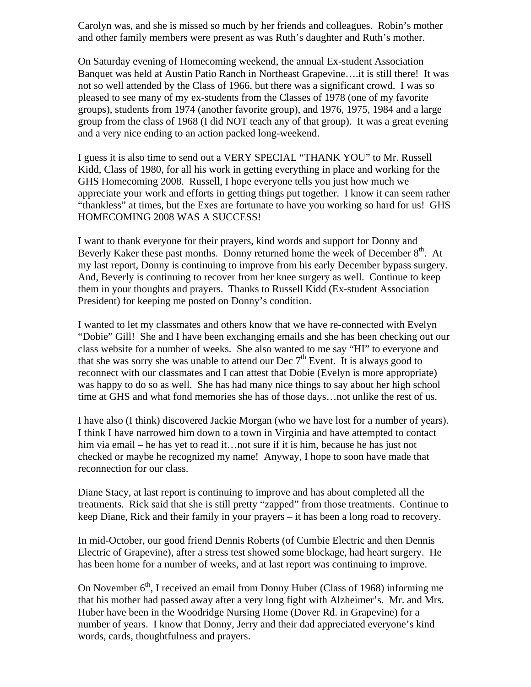Carolyn was, and she is missed so much by her friends and colleagues. Robin's mother and other family members were present as was Ruth's daughter and Ruth's mother.

On Saturday evening of Homecoming weekend, the annual Ex-student Association Banquet was held at Austin Patio Ranch in Northeast Grapevine….it is still there! It was not so well attended by the Class of 1966, but there was a significant crowd. I was so pleased to see many of my ex-students from the Classes of 1978 (one of my favorite groups), students from 1974 (another favorite group), and 1976, 1975, 1984 and a large group from the class of 1968 (I did NOT teach any of that group). It was a great evening and a very nice ending to an action packed long-weekend.

I guess it is also time to send out a VERY SPECIAL "THANK YOU" to Mr. Russell Kidd, Class of 1980, for all his work in getting everything in place and working for the GHS Homecoming 2008. Russell, I hope everyone tells you just how much we appreciate your work and efforts in getting things put together. I know it can seem rather "thankless" at times, but the Exes are fortunate to have you working so hard for us! GHS HOMECOMING 2008 WAS A SUCCESS!

I want to thank everyone for their prayers, kind words and support for Donny and Beverly Kaker these past months. Donny returned home the week of December  $8<sup>th</sup>$ . At my last report, Donny is continuing to improve from his early December bypass surgery. And, Beverly is continuing to recover from her knee surgery as well. Continue to keep them in your thoughts and prayers. Thanks to Russell Kidd (Ex-student Association President) for keeping me posted on Donny's condition.

I wanted to let my classmates and others know that we have re-connected with Evelyn "Dobie" Gill! She and I have been exchanging emails and she has been checking out our class website for a number of weeks. She also wanted to me say "HI" to everyone and that she was sorry she was unable to attend our Dec  $7<sup>th</sup>$  Event. It is always good to reconnect with our classmates and I can attest that Dobie (Evelyn is more appropriate) was happy to do so as well. She has had many nice things to say about her high school time at GHS and what fond memories she has of those days…not unlike the rest of us.

I have also (I think) discovered Jackie Morgan (who we have lost for a number of years). I think I have narrowed him down to a town in Virginia and have attempted to contact him via email – he has yet to read it…not sure if it is him, because he has just not checked or maybe he recognized my name! Anyway, I hope to soon have made that reconnection for our class.

Diane Stacy, at last report is continuing to improve and has about completed all the treatments. Rick said that she is still pretty "zapped" from those treatments. Continue to keep Diane, Rick and their family in your prayers – it has been a long road to recovery.

In mid-October, our good friend Dennis Roberts (of Cumbie Electric and then Dennis Electric of Grapevine), after a stress test showed some blockage, had heart surgery. He has been home for a number of weeks, and at last report was continuing to improve.

On November  $6<sup>th</sup>$ , I received an email from Donny Huber (Class of 1968) informing me that his mother had passed away after a very long fight with Alzheimer's. Mr. and Mrs. Huber have been in the Woodridge Nursing Home (Dover Rd. in Grapevine) for a number of years. I know that Donny, Jerry and their dad appreciated everyone's kind words, cards, thoughtfulness and prayers.